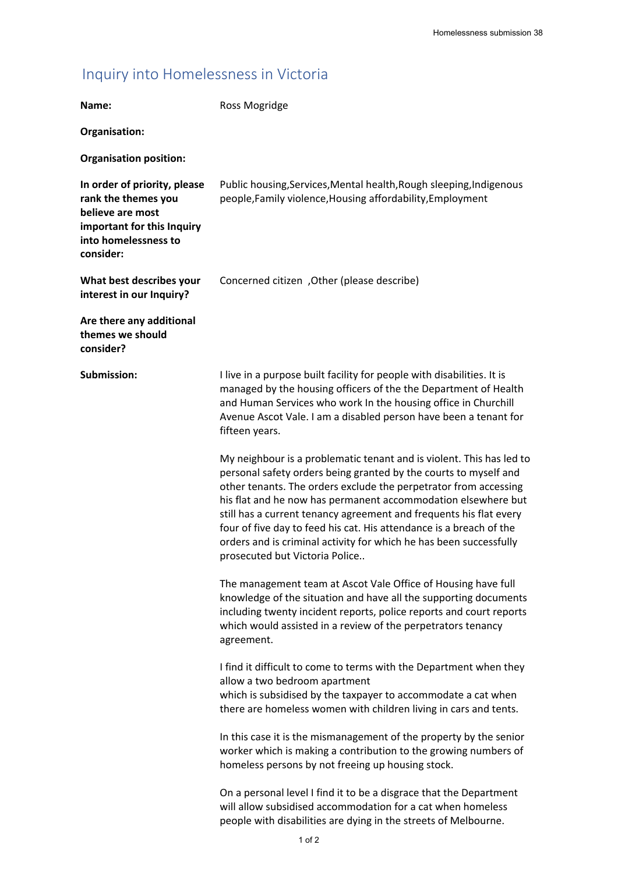## Inquiry into Homelessness in Victoria

| Name:                                                                                                                                      | Ross Mogridge                                                                                                                                                                                                                                                                                                                                                                                                                                                                                                                      |
|--------------------------------------------------------------------------------------------------------------------------------------------|------------------------------------------------------------------------------------------------------------------------------------------------------------------------------------------------------------------------------------------------------------------------------------------------------------------------------------------------------------------------------------------------------------------------------------------------------------------------------------------------------------------------------------|
| Organisation:                                                                                                                              |                                                                                                                                                                                                                                                                                                                                                                                                                                                                                                                                    |
| <b>Organisation position:</b>                                                                                                              |                                                                                                                                                                                                                                                                                                                                                                                                                                                                                                                                    |
| In order of priority, please<br>rank the themes you<br>believe are most<br>important for this Inquiry<br>into homelessness to<br>consider: | Public housing, Services, Mental health, Rough sleeping, Indigenous<br>people, Family violence, Housing affordability, Employment                                                                                                                                                                                                                                                                                                                                                                                                  |
| What best describes your<br>interest in our Inquiry?                                                                                       | Concerned citizen, Other (please describe)                                                                                                                                                                                                                                                                                                                                                                                                                                                                                         |
| Are there any additional<br>themes we should<br>consider?                                                                                  |                                                                                                                                                                                                                                                                                                                                                                                                                                                                                                                                    |
| Submission:                                                                                                                                | I live in a purpose built facility for people with disabilities. It is<br>managed by the housing officers of the the Department of Health<br>and Human Services who work In the housing office in Churchill<br>Avenue Ascot Vale. I am a disabled person have been a tenant for<br>fifteen years.                                                                                                                                                                                                                                  |
|                                                                                                                                            | My neighbour is a problematic tenant and is violent. This has led to<br>personal safety orders being granted by the courts to myself and<br>other tenants. The orders exclude the perpetrator from accessing<br>his flat and he now has permanent accommodation elsewhere but<br>still has a current tenancy agreement and frequents his flat every<br>four of five day to feed his cat. His attendance is a breach of the<br>orders and is criminal activity for which he has been successfully<br>prosecuted but Victoria Police |
|                                                                                                                                            | The management team at Ascot Vale Office of Housing have full<br>knowledge of the situation and have all the supporting documents<br>including twenty incident reports, police reports and court reports<br>which would assisted in a review of the perpetrators tenancy<br>agreement.                                                                                                                                                                                                                                             |
|                                                                                                                                            | I find it difficult to come to terms with the Department when they<br>allow a two bedroom apartment<br>which is subsidised by the taxpayer to accommodate a cat when<br>there are homeless women with children living in cars and tents.                                                                                                                                                                                                                                                                                           |
|                                                                                                                                            | In this case it is the mismanagement of the property by the senior<br>worker which is making a contribution to the growing numbers of<br>homeless persons by not freeing up housing stock.                                                                                                                                                                                                                                                                                                                                         |
|                                                                                                                                            | On a personal level I find it to be a disgrace that the Department<br>will allow subsidised accommodation for a cat when homeless<br>people with disabilities are dying in the streets of Melbourne.                                                                                                                                                                                                                                                                                                                               |